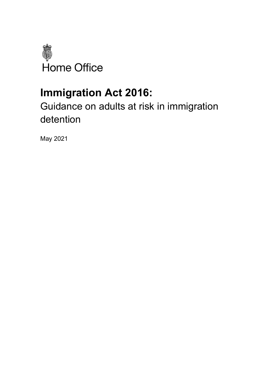

# **Immigration Act 2016:**

## Guidance on adults at risk in immigration detention

May 2021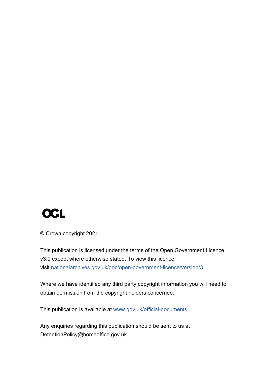

© Crown copyright 2021

This publication is licensed under the terms of the Open Government Licence v3.0 except where otherwise stated. To view this licence, visit [nationalarchives.gov.uk/doc/open-government-licence/version/3.](http://www.nationalarchives.gov.uk/doc/open-government-licence/version/3)

Where we have identified any third party copyright information you will need to obtain permission from the copyright holders concerned.

This publication is available at [www.gov.uk/official-documents.](https://www.gov.uk/government/publications)

Any enquiries regarding this publication should be sent to us at DetentionPolicy@homeoffice.gov.uk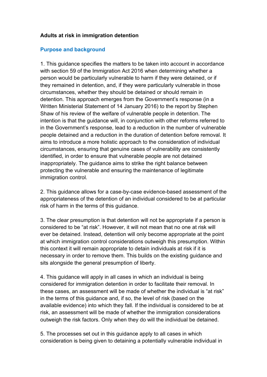#### **Adults at risk in immigration detention**

#### **Purpose and background**

1. This guidance specifies the matters to be taken into account in accordance with section 59 of the Immigration Act 2016 when determining whether a person would be particularly vulnerable to harm if they were detained, or if they remained in detention, and, if they were particularly vulnerable in those circumstances, whether they should be detained or should remain in detention. This approach emerges from the Government's response (in a Written Ministerial Statement of 14 January 2016) to the report by Stephen Shaw of his review of the welfare of vulnerable people in detention. The intention is that the guidance will, in conjunction with other reforms referred to in the Government's response, lead to a reduction in the number of vulnerable people detained and a reduction in the duration of detention before removal. It aims to introduce a more holistic approach to the consideration of individual circumstances, ensuring that genuine cases of vulnerability are consistently identified, in order to ensure that vulnerable people are not detained inappropriately. The guidance aims to strike the right balance between protecting the vulnerable and ensuring the maintenance of legitimate immigration control.

2. This guidance allows for a case-by-case evidence-based assessment of the appropriateness of the detention of an individual considered to be at particular risk of harm in the terms of this guidance.

3. The clear presumption is that detention will not be appropriate if a person is considered to be "at risk". However, it will not mean that no one at risk will ever be detained. Instead, detention will only become appropriate at the point at which immigration control considerations outweigh this presumption. Within this context it will remain appropriate to detain individuals at risk if it is necessary in order to remove them. This builds on the existing guidance and sits alongside the general presumption of liberty.

4. This guidance will apply in all cases in which an individual is being considered for immigration detention in order to facilitate their removal. In these cases, an assessment will be made of whether the individual is "at risk" in the terms of this guidance and, if so, the level of risk (based on the available evidence) into which they fall. If the individual is considered to be at risk, an assessment will be made of whether the immigration considerations outweigh the risk factors. Only when they do will the individual be detained.

5. The processes set out in this guidance apply to all cases in which consideration is being given to detaining a potentially vulnerable individual in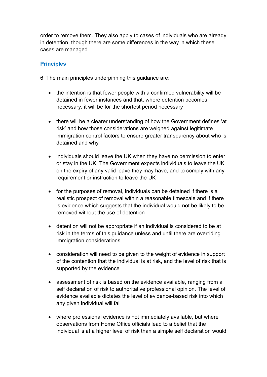order to remove them. They also apply to cases of individuals who are already in detention, though there are some differences in the way in which these cases are managed

#### **Principles**

6. The main principles underpinning this guidance are:

- the intention is that fewer people with a confirmed vulnerability will be detained in fewer instances and that, where detention becomes necessary, it will be for the shortest period necessary
- there will be a clearer understanding of how the Government defines 'at risk' and how those considerations are weighed against legitimate immigration control factors to ensure greater transparency about who is detained and why
- individuals should leave the UK when they have no permission to enter or stay in the UK. The Government expects individuals to leave the UK on the expiry of any valid leave they may have, and to comply with any requirement or instruction to leave the UK
- for the purposes of removal, individuals can be detained if there is a realistic prospect of removal within a reasonable timescale and if there is evidence which suggests that the individual would not be likely to be removed without the use of detention
- detention will not be appropriate if an individual is considered to be at risk in the terms of this guidance unless and until there are overriding immigration considerations
- consideration will need to be given to the weight of evidence in support of the contention that the individual is at risk, and the level of risk that is supported by the evidence
- assessment of risk is based on the evidence available, ranging from a self declaration of risk to authoritative professional opinion. The level of evidence available dictates the level of evidence-based risk into which any given individual will fall
- where professional evidence is not immediately available, but where observations from Home Office officials lead to a belief that the individual is at a higher level of risk than a simple self declaration would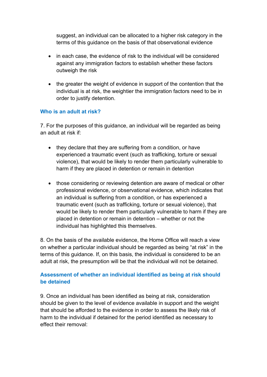suggest, an individual can be allocated to a higher risk category in the terms of this guidance on the basis of that observational evidence

- in each case, the evidence of risk to the individual will be considered against any immigration factors to establish whether these factors outweigh the risk
- the greater the weight of evidence in support of the contention that the individual is at risk, the weightier the immigration factors need to be in order to justify detention.

#### **Who is an adult at risk?**

7. For the purposes of this guidance, an individual will be regarded as being an adult at risk if:

- they declare that they are suffering from a condition, or have experienced a traumatic event (such as trafficking, torture or sexual violence), that would be likely to render them particularly vulnerable to harm if they are placed in detention or remain in detention
- those considering or reviewing detention are aware of medical or other professional evidence, or observational evidence, which indicates that an individual is suffering from a condition, or has experienced a traumatic event (such as trafficking, torture or sexual violence), that would be likely to render them particularly vulnerable to harm if they are placed in detention or remain in detention – whether or not the individual has highlighted this themselves.

8. On the basis of the available evidence, the Home Office will reach a view on whether a particular individual should be regarded as being "at risk" in the terms of this guidance. If, on this basis, the individual is considered to be an adult at risk, the presumption will be that the individual will not be detained.

### **Assessment of whether an individual identified as being at risk should be detained**

9. Once an individual has been identified as being at risk, consideration should be given to the level of evidence available in support and the weight that should be afforded to the evidence in order to assess the likely risk of harm to the individual if detained for the period identified as necessary to effect their removal: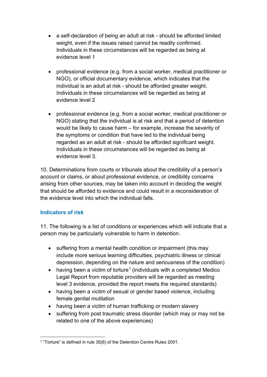- a self-declaration of being an adult at risk should be afforded limited weight, even if the issues raised cannot be readily confirmed. Individuals in these circumstances will be regarded as being at evidence level 1
- professional evidence (e.g. from a social worker, medical practitioner or NGO), or official documentary evidence, which indicates that the individual is an adult at risk - should be afforded greater weight. Individuals in these circumstances will be regarded as being at evidence level 2
- professional evidence (e.g. from a social worker, medical practitioner or NGO) stating that the individual is at risk and that a period of detention would be likely to cause harm – for example, increase the severity of the symptoms or condition that have led to the individual being regarded as an adult at risk - should be afforded significant weight. Individuals in these circumstances will be regarded as being at evidence level 3.

10. Determinations from courts or tribunals about the credibility of a person's account or claims, or about professional evidence, or credibility concerns arising from other sources, may be taken into account in deciding the weight that should be afforded to evidence and could result in a reconsideration of the evidence level into which the individual falls.

#### **Indicators of risk**

11. The following is a list of conditions or experiences which will indicate that a person may be particularly vulnerable to harm in detention.

- suffering from a mental health condition or impairment (this may include more serious learning difficulties, psychiatric illness or clinical depression, depending on the nature and seriousness of the condition)
- having been a victim of torture<sup>[1](#page-5-0)</sup> (individuals with a completed Medico Legal Report from reputable providers will be regarded as meeting level 3 evidence, provided the report meets the required standards)
- having been a victim of sexual or gender based violence, including female genital mutilation
- having been a victim of human trafficking or modern slavery
- suffering from post traumatic stress disorder (which may or may not be related to one of the above experiences)

<span id="page-5-0"></span><sup>1</sup> "Torture" is defined in rule 35(6) of the Detention Centre Rules 2001.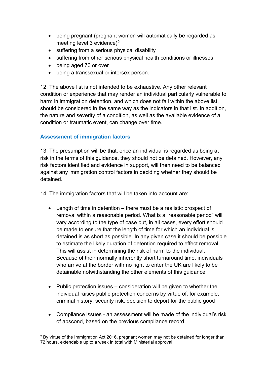- being pregnant (pregnant women will automatically be regarded as meeting level 3 evidence)<sup>[2](#page-6-0)</sup>
- suffering from a serious physical disability
- suffering from other serious physical health conditions or illnesses
- being aged 70 or over
- being a transsexual or intersex person.

12. The above list is not intended to be exhaustive. Any other relevant condition or experience that may render an individual particularly vulnerable to harm in immigration detention, and which does not fall within the above list, should be considered in the same way as the indicators in that list. In addition, the nature and severity of a condition, as well as the available evidence of a condition or traumatic event, can change over time.

#### **Assessment of immigration factors**

13. The presumption will be that, once an individual is regarded as being at risk in the terms of this guidance, they should not be detained. However, any risk factors identified and evidence in support, will then need to be balanced against any immigration control factors in deciding whether they should be detained.

14. The immigration factors that will be taken into account are:

- Length of time in detention there must be a realistic prospect of removal within a reasonable period. What is a "reasonable period" will vary according to the type of case but, in all cases, every effort should be made to ensure that the length of time for which an individual is detained is as short as possible. In any given case it should be possible to estimate the likely duration of detention required to effect removal. This will assist in determining the risk of harm to the individual. Because of their normally inherently short turnaround time, individuals who arrive at the border with no right to enter the UK are likely to be detainable notwithstanding the other elements of this guidance
- Public protection issues consideration will be given to whether the individual raises public protection concerns by virtue of, for example, criminal history, security risk, decision to deport for the public good
- Compliance issues an assessment will be made of the individual's risk of abscond, based on the previous compliance record.

<span id="page-6-0"></span><sup>&</sup>lt;sup>2</sup> By virtue of the Immigration Act 2016, pregnant women may not be detained for longer than 72 hours, extendable up to a week in total with Ministerial approval.